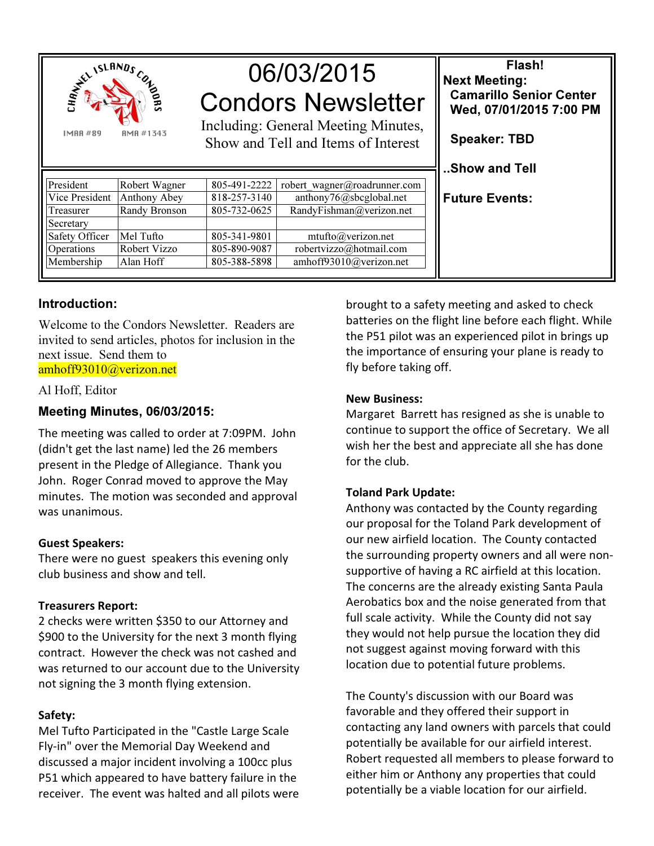

# 06/03/2015 Condors Newsletter

Including: General Meeting Minutes, Show and Tell and Items of Interest

| President      | Robert Wagner | 805-491-2222 | robert wagner@roadrunner.com |
|----------------|---------------|--------------|------------------------------|
| Vice President | Anthony Abey  | 818-257-3140 | anthony76@sbcglobal.net      |
| Treasurer      | Randy Bronson | 805-732-0625 | RandyFishman@verizon.net     |
| Secretary      |               |              |                              |
| Safety Officer | Mel Tufto     | 805-341-9801 | mtufto@verizon.net           |
| Operations     | Robert Vizzo  | 805-890-9087 | robertvizzo@hotmail.com      |
| Membership     | Alan Hoff     | 805-388-5898 | amhoff93010@verizon.net      |

# Introduction:

**IMAR#89** 

Welcome to the Condors Newsletter. Readers are invited to send articles, photos for inclusion in the next issue. Send them to amhoff93010@verizon.net

#### Al Hoff, Editor

# Meeting Minutes, 06/03/2015:

The meeting was called to order at 7:09PM. John (didn't get the last name) led the 26 members present in the Pledge of Allegiance. Thank you John. Roger Conrad moved to approve the May minutes. The motion was seconded and approval was unanimous.

## Guest Speakers:

There were no guest speakers this evening only club business and show and tell.

## Treasurers Report:

2 checks were written \$350 to our Attorney and \$900 to the University for the next 3 month flying contract. However the check was not cashed and was returned to our account due to the University not signing the 3 month flying extension.

## Safety:

Mel Tufto Participated in the "Castle Large Scale Fly-in" over the Memorial Day Weekend and discussed a major incident involving a 100cc plus P51 which appeared to have battery failure in the receiver. The event was halted and all pilots were

brought to a safety meeting and asked to check batteries on the flight line before each flight. While the P51 pilot was an experienced pilot in brings up the importance of ensuring your plane is ready to fly before taking off.

Flash!

 Camarillo Senior Center Wed, 07/01/2015 7:00 PM

Next Meeting:

Speaker: TBD

..Show and Tell

Future Events:

### New Business:

Margaret Barrett has resigned as she is unable to continue to support the office of Secretary. We all wish her the best and appreciate all she has done for the club.

## Toland Park Update:

Anthony was contacted by the County regarding our proposal for the Toland Park development of our new airfield location. The County contacted the surrounding property owners and all were nonsupportive of having a RC airfield at this location. The concerns are the already existing Santa Paula Aerobatics box and the noise generated from that full scale activity. While the County did not say they would not help pursue the location they did not suggest against moving forward with this location due to potential future problems.

The County's discussion with our Board was favorable and they offered their support in contacting any land owners with parcels that could potentially be available for our airfield interest. Robert requested all members to please forward to either him or Anthony any properties that could potentially be a viable location for our airfield.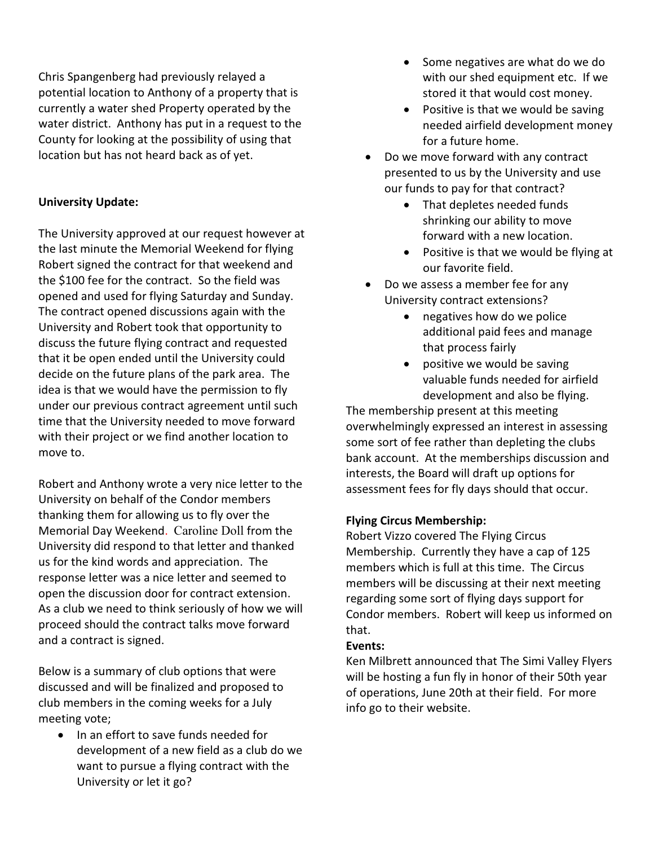Chris Spangenberg had previously relayed a potential location to Anthony of a property that is currently a water shed Property operated by the water district. Anthony has put in a request to the County for looking at the possibility of using that location but has not heard back as of yet.

## University Update:

The University approved at our request however at the last minute the Memorial Weekend for flying Robert signed the contract for that weekend and the \$100 fee for the contract. So the field was opened and used for flying Saturday and Sunday. The contract opened discussions again with the University and Robert took that opportunity to discuss the future flying contract and requested that it be open ended until the University could decide on the future plans of the park area. The idea is that we would have the permission to fly under our previous contract agreement until such time that the University needed to move forward with their project or we find another location to move to.

Robert and Anthony wrote a very nice letter to the University on behalf of the Condor members thanking them for allowing us to fly over the Memorial Day Weekend. Caroline Doll from the University did respond to that letter and thanked us for the kind words and appreciation. The response letter was a nice letter and seemed to open the discussion door for contract extension. As a club we need to think seriously of how we will proceed should the contract talks move forward and a contract is signed.

Below is a summary of club options that were discussed and will be finalized and proposed to club members in the coming weeks for a July meeting vote;

• In an effort to save funds needed for development of a new field as a club do we want to pursue a flying contract with the University or let it go?

- Some negatives are what do we do with our shed equipment etc. If we stored it that would cost money.
- Positive is that we would be saving needed airfield development money for a future home.
- Do we move forward with any contract presented to us by the University and use our funds to pay for that contract?
	- That depletes needed funds shrinking our ability to move forward with a new location.
	- Positive is that we would be flying at our favorite field.
- Do we assess a member fee for any University contract extensions?
	- negatives how do we police additional paid fees and manage that process fairly
	- positive we would be saving valuable funds needed for airfield development and also be flying.

The membership present at this meeting overwhelmingly expressed an interest in assessing some sort of fee rather than depleting the clubs bank account. At the memberships discussion and interests, the Board will draft up options for assessment fees for fly days should that occur.

#### Flying Circus Membership:

Robert Vizzo covered The Flying Circus Membership. Currently they have a cap of 125 members which is full at this time. The Circus members will be discussing at their next meeting regarding some sort of flying days support for Condor members. Robert will keep us informed on that.

#### Events:

Ken Milbrett announced that The Simi Valley Flyers will be hosting a fun fly in honor of their 50th year of operations, June 20th at their field. For more info go to their website.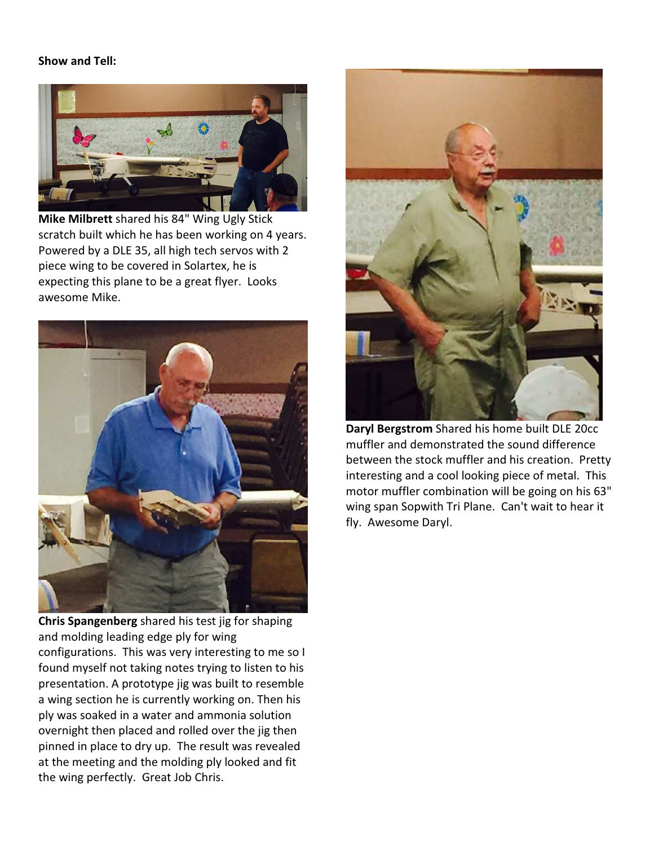## Show and Tell:



Mike Milbrett shared his 84" Wing Ugly Stick scratch built which he has been working on 4 years. Powered by a DLE 35, all high tech servos with 2 piece wing to be covered in Solartex, he is expecting this plane to be a great flyer. Looks awesome Mike.



Chris Spangenberg shared his test jig for shaping and molding leading edge ply for wing configurations. This was very interesting to me so I found myself not taking notes trying to listen to his presentation. A prototype jig was built to resemble a wing section he is currently working on. Then his ply was soaked in a water and ammonia solution overnight then placed and rolled over the jig then pinned in place to dry up. The result was revealed at the meeting and the molding ply looked and fit the wing perfectly. Great Job Chris.



Daryl Bergstrom Shared his home built DLE 20cc muffler and demonstrated the sound difference between the stock muffler and his creation. Pretty interesting and a cool looking piece of metal. This motor muffler combination will be going on his 63" wing span Sopwith Tri Plane. Can't wait to hear it fly. Awesome Daryl.